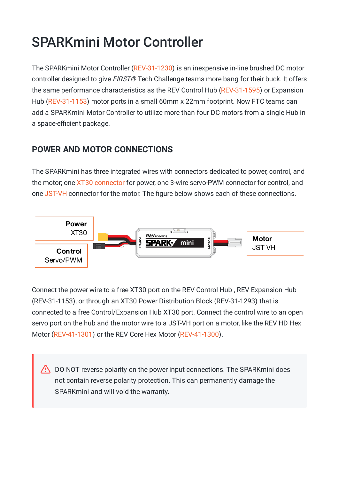# SPARKmini Motor Controller

The SPARKmini Motor Controller [\(REV-31-1230\)](https://www.revrobotics.com/rev-31-1230/) is an inexpensive in-line brushed DC motor controller designed to give *FIRST®* Tech Challenge teams more bang for their buck. It offers the same performance characteristics as the REV Control Hub [\(REV-31-1595](https://www.revrobotics.com/rev-31-1595/)) or Expansion Hub [\(REV-31-1153\)](https://www.revrobotics.com/rev-31-1153/) motor ports in a small 60mm x 22mm footprint. Now FTC teams can add a SPARKmini Motor Controller to utilize more than four DC motors from a single Hub in a space-efficient package.

## **POWER AND MOTOR CONNECTIONS**

The SPARKmini has three integrated wires with connectors dedicated to power, control, and the motor; one XT30 connector for power, one 3-wire servo-PWM connector for control, and one JST-VH connector for the motor. The figure below shows each of these connections.



Connect the power wire to a free XT30 port on the REV Control Hub , REV Expansion Hub (REV-31-1153), or through an XT30 Power Distribution Block (REV-31-1293) that is connected to a free Control/Expansion Hub XT30 port. Connect the control wire to an open servo port on the hub and the motor wire to a JST-VH port on a motor, like the REV HD Hex Motor [\(REV-41-1301](https://www.revrobotics.com/rev-41-1301/)) or the REV Core Hex Motor [\(REV-41-1300](https://www.revrobotics.com/rev-41-1300/)).

 $\sqrt{N}$  DO NOT reverse polarity on the power input connections. The SPARKmini does not contain reverse polarity protection. This can permanently damage the SPARKmini and will void the warranty.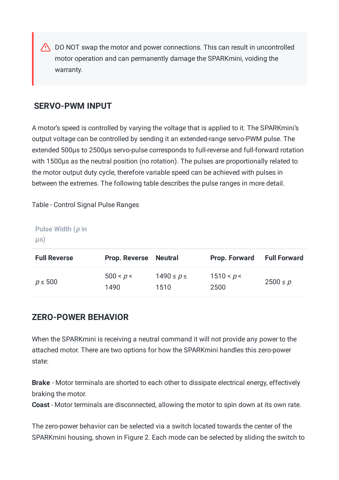DO NOT swap the motor and power connections. This can result in uncontrolled motor operation and can permanently damage the SPARKmini, voiding the warranty.

## **SERVO-PWM INPUT**

A motor's speed is controlled by varying the voltage that is applied to it. The SPARKmini's output voltage can be controlled by sending it an extended-range servo-PWM pulse. The extended 500µs to 2500µs servo-pulse corresponds to full-reverse and full-forward rotation with 1500µs as the neutral position (no rotation). The pulses are proportionally related to the motor output duty cycle, therefore variable speed can be achieved with pulses in between the extremes. The following table describes the pulse ranges in more detail.

Table - Control Signal Pulse Ranges

#### **Pulse Width (p in µs)**

| <b>Full Reverse</b> | <b>Prop. Reverse</b> | <b>Neutral</b>     | <b>Prop. Forward</b> | <b>Full Forward</b> |
|---------------------|----------------------|--------------------|----------------------|---------------------|
| $p \leq 500$        | 500 < p <<br>1490    | 1490 ≤ p ≤<br>1510 | 1510 < p <<br>2500   | $2500 \le p$        |

## **ZERO-POWER BEHAVIOR**

When the SPARKmini is receiving a neutral command it will not provide any power to the attached motor. There are two options for how the SPARKmini handles this zero-power state:

**Brake** - Motor terminals are shorted to each other to dissipate electrical energy, effectively braking the motor.

**Coast** - Motor terminals are disconnected, allowing the motor to spin down at its own rate.

The zero-power behavior can be selected via a switch located towards the center of the SPARKmini housing, shown in Figure 2. Each mode can be selected by sliding the switch to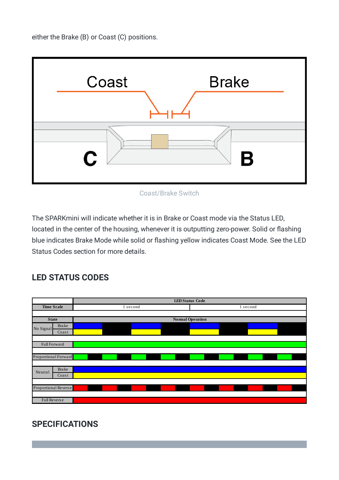either the Brake (B) or Coast (C) positions.



Coast/Brake Switch

The SPARKmini will indicate whether it is in Brake or Coast mode via the Status LED, located in the center of the housing, whenever it is outputting zero-power. Solid or flashing blue indicates Brake Mode while solid or flashing yellow indicates Coast Mode. See the LED Status Codes section for more details.

## **LED STATUS CODES**



# **SPECIFICATIONS**